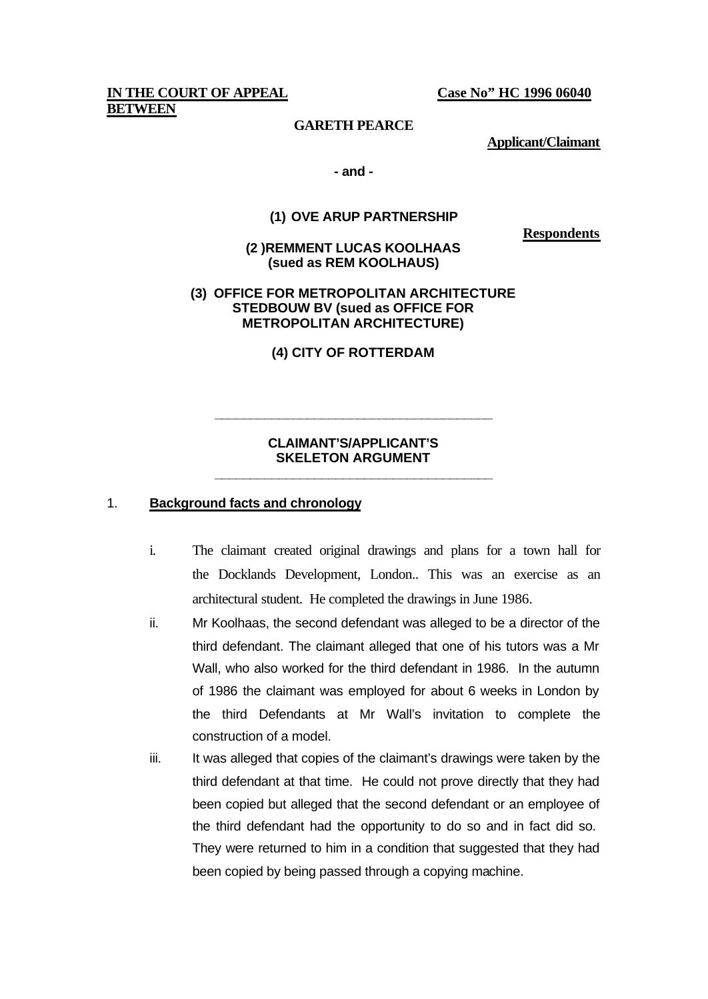**IN THE COURT OF APPEAL Case No" HC 1996 06040 BETWEEN**

## **GARETH PEARCE**

**Applicant/Claimant**

### **- and -**

### **(1) OVE ARUP PARTNERSHIP**

**Respondents**

**(2 )REMMENT LUCAS KOOLHAAS (sued as REM KOOLHAUS)** 

## **(3) OFFICE FOR METROPOLITAN ARCHITECTURE STEDBOUW BV (sued as OFFICE FOR METROPOLITAN ARCHITECTURE)**

**(4) CITY OF ROTTERDAM** 

## **CLAIMANT'S/APPLICANT'S SKELETON ARGUMENT \_\_\_\_\_\_\_\_\_\_\_\_\_\_\_\_\_\_\_\_\_\_\_\_\_\_\_\_\_\_\_\_\_\_\_\_\_\_\_**

**\_\_\_\_\_\_\_\_\_\_\_\_\_\_\_\_\_\_\_\_\_\_\_\_\_\_\_\_\_\_\_\_\_\_\_\_\_\_\_**

## 1. **Background facts and chronology**

- i. The claimant created original drawings and plans for a town hall for the Docklands Development, London.. This was an exercise as an architectural student. He completed the drawings in June 1986.
- ii. Mr Koolhaas, the second defendant was alleged to be a director of the third defendant. The claimant alleged that one of his tutors was a Mr Wall, who also worked for the third defendant in 1986. In the autumn of 1986 the claimant was employed for about 6 weeks in London by the third Defendants at Mr Wall's invitation to complete the construction of a model.
- iii. It was alleged that copies of the claimant's drawings were taken by the third defendant at that time. He could not prove directly that they had been copied but alleged that the second defendant or an employee of the third defendant had the opportunity to do so and in fact did so. They were returned to him in a condition that suggested that they had been copied by being passed through a copying machine.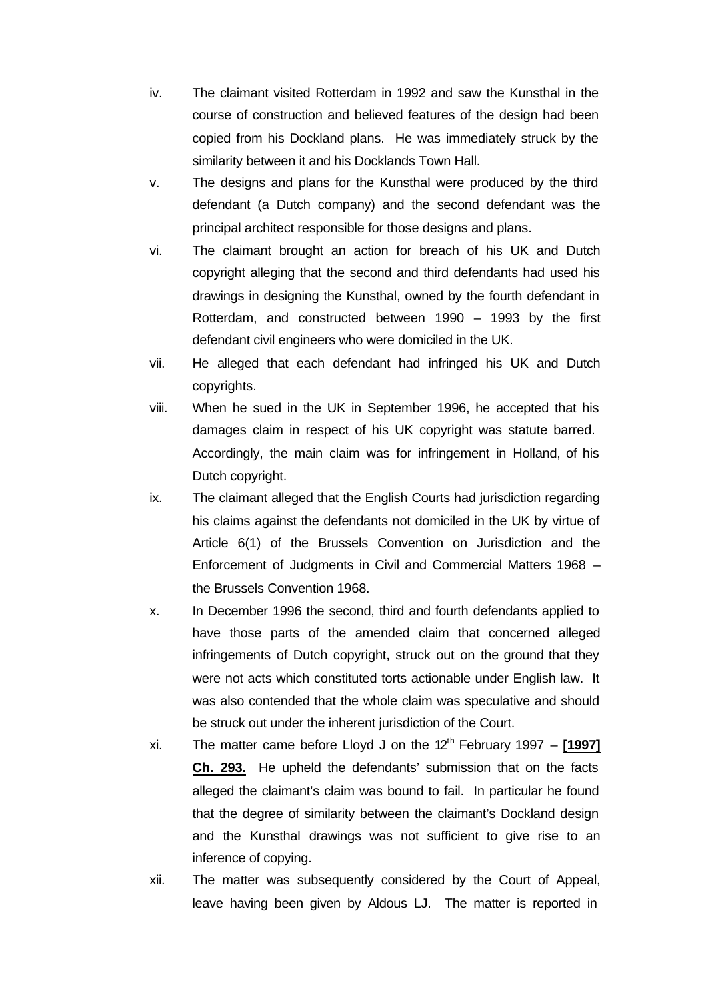- iv. The claimant visited Rotterdam in 1992 and saw the Kunsthal in the course of construction and believed features of the design had been copied from his Dockland plans. He was immediately struck by the similarity between it and his Docklands Town Hall.
- v. The designs and plans for the Kunsthal were produced by the third defendant (a Dutch company) and the second defendant was the principal architect responsible for those designs and plans.
- vi. The claimant brought an action for breach of his UK and Dutch copyright alleging that the second and third defendants had used his drawings in designing the Kunsthal, owned by the fourth defendant in Rotterdam, and constructed between 1990 – 1993 by the first defendant civil engineers who were domiciled in the UK.
- vii. He alleged that each defendant had infringed his UK and Dutch copyrights.
- viii. When he sued in the UK in September 1996, he accepted that his damages claim in respect of his UK copyright was statute barred. Accordingly, the main claim was for infringement in Holland, of his Dutch copyright.
- ix. The claimant alleged that the English Courts had jurisdiction regarding his claims against the defendants not domiciled in the UK by virtue of Article 6(1) of the Brussels Convention on Jurisdiction and the Enforcement of Judgments in Civil and Commercial Matters 1968 – the Brussels Convention 1968.
- x. In December 1996 the second, third and fourth defendants applied to have those parts of the amended claim that concerned alleged infringements of Dutch copyright, struck out on the ground that they were not acts which constituted torts actionable under English law. It was also contended that the whole claim was speculative and should be struck out under the inherent jurisdiction of the Court.
- xi. The matter came before Lloyd J on the 12<sup>th</sup> February 1997 [1997] **Ch. 293.** He upheld the defendants' submission that on the facts alleged the claimant's claim was bound to fail. In particular he found that the degree of similarity between the claimant's Dockland design and the Kunsthal drawings was not sufficient to give rise to an inference of copying.
- xii. The matter was subsequently considered by the Court of Appeal, leave having been given by Aldous LJ. The matter is reported in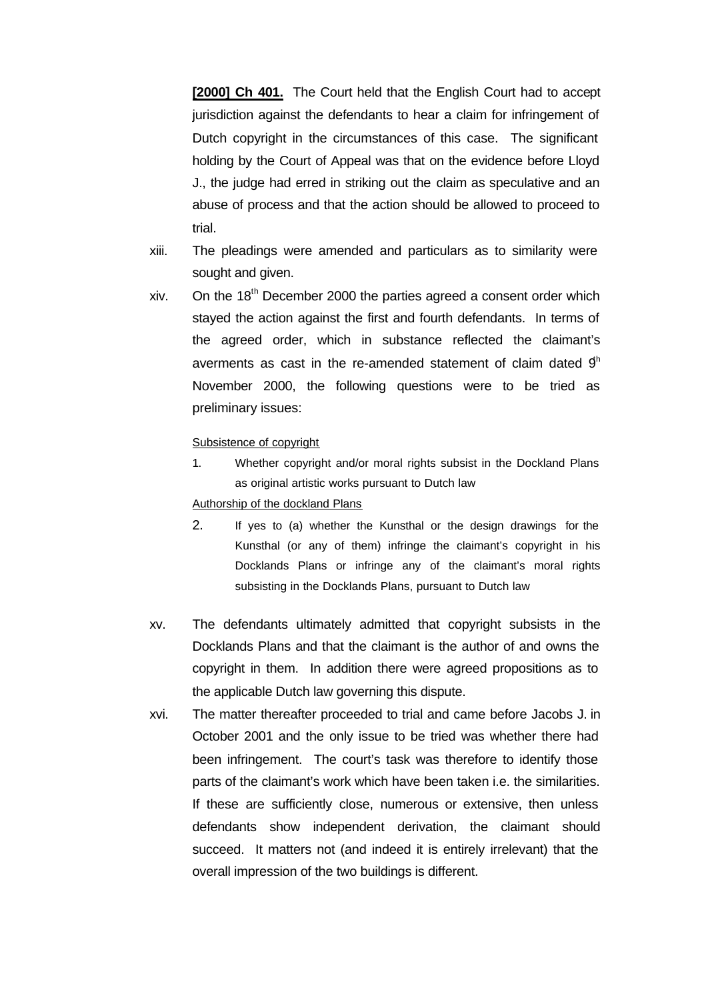**[2000] Ch 401.** The Court held that the English Court had to accept jurisdiction against the defendants to hear a claim for infringement of Dutch copyright in the circumstances of this case. The significant holding by the Court of Appeal was that on the evidence before Lloyd J., the judge had erred in striking out the claim as speculative and an abuse of process and that the action should be allowed to proceed to trial.

- xiii. The pleadings were amended and particulars as to similarity were sought and given.
- xiv. On the  $18<sup>th</sup>$  December 2000 the parties agreed a consent order which stayed the action against the first and fourth defendants. In terms of the agreed order, which in substance reflected the claimant's averments as cast in the re-amended statement of claim dated  $9<sup>h</sup>$ November 2000, the following questions were to be tried as preliminary issues:

### Subsistence of copyright

1. Whether copyright and/or moral rights subsist in the Dockland Plans as original artistic works pursuant to Dutch law

#### Authorship of the dockland Plans

- 2. If yes to (a) whether the Kunsthal or the design drawings for the Kunsthal (or any of them) infringe the claimant's copyright in his Docklands Plans or infringe any of the claimant's moral rights subsisting in the Docklands Plans, pursuant to Dutch law
- xv. The defendants ultimately admitted that copyright subsists in the Docklands Plans and that the claimant is the author of and owns the copyright in them. In addition there were agreed propositions as to the applicable Dutch law governing this dispute.
- xvi. The matter thereafter proceeded to trial and came before Jacobs J. in October 2001 and the only issue to be tried was whether there had been infringement. The court's task was therefore to identify those parts of the claimant's work which have been taken i.e. the similarities. If these are sufficiently close, numerous or extensive, then unless defendants show independent derivation, the claimant should succeed. It matters not (and indeed it is entirely irrelevant) that the overall impression of the two buildings is different.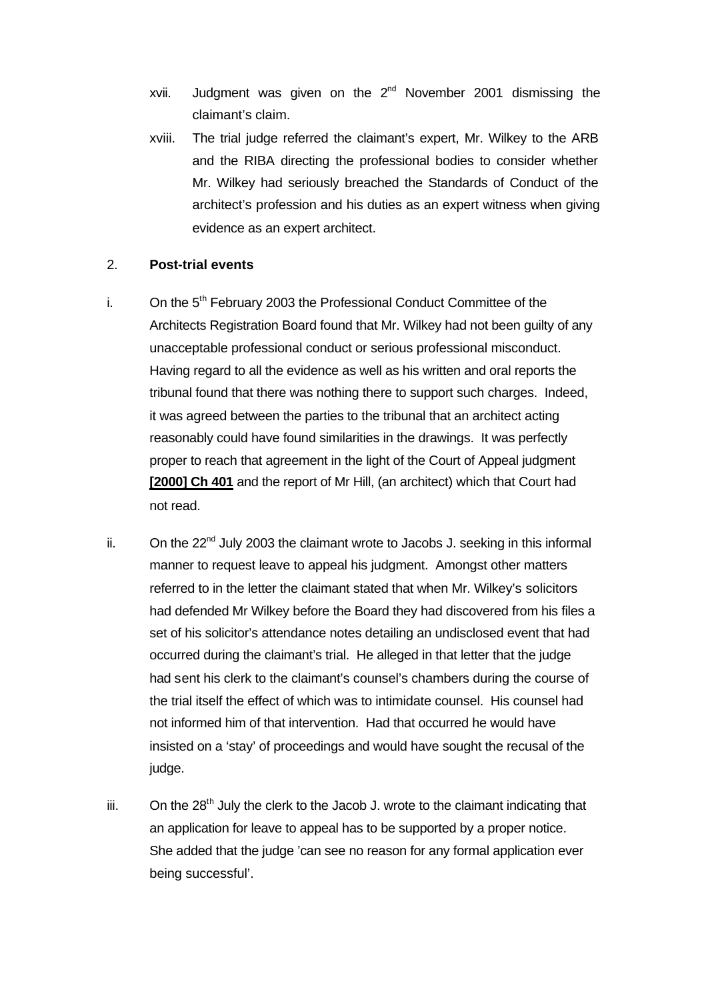- xvii. Judgment was given on the  $2^{nd}$  November 2001 dismissing the claimant's claim.
- xviii. The trial judge referred the claimant's expert, Mr. Wilkey to the ARB and the RIBA directing the professional bodies to consider whether Mr. Wilkey had seriously breached the Standards of Conduct of the architect's profession and his duties as an expert witness when giving evidence as an expert architect.

## 2. **Post-trial events**

- i. On the  $5<sup>th</sup>$  February 2003 the Professional Conduct Committee of the Architects Registration Board found that Mr. Wilkey had not been guilty of any unacceptable professional conduct or serious professional misconduct. Having regard to all the evidence as well as his written and oral reports the tribunal found that there was nothing there to support such charges. Indeed, it was agreed between the parties to the tribunal that an architect acting reasonably could have found similarities in the drawings. It was perfectly proper to reach that agreement in the light of the Court of Appeal judgment **[2000] Ch 401** and the report of Mr Hill, (an architect) which that Court had not read.
- ii. On the  $22<sup>nd</sup>$  July 2003 the claimant wrote to Jacobs J. seeking in this informal manner to request leave to appeal his judgment. Amongst other matters referred to in the letter the claimant stated that when Mr. Wilkey's solicitors had defended Mr Wilkey before the Board they had discovered from his files a set of his solicitor's attendance notes detailing an undisclosed event that had occurred during the claimant's trial. He alleged in that letter that the judge had sent his clerk to the claimant's counsel's chambers during the course of the trial itself the effect of which was to intimidate counsel. His counsel had not informed him of that intervention. Had that occurred he would have insisted on a 'stay' of proceedings and would have sought the recusal of the judge.
- $iii.$  On the 28<sup>th</sup> July the clerk to the Jacob J. wrote to the claimant indicating that an application for leave to appeal has to be supported by a proper notice. She added that the judge 'can see no reason for any formal application ever being successful'.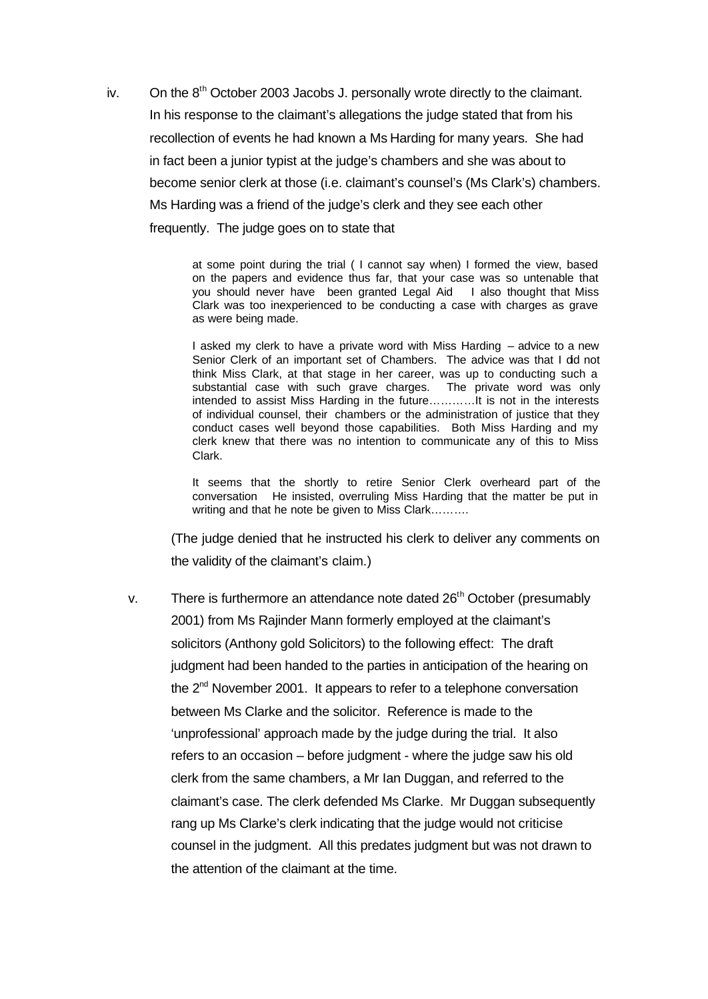iv. On the  $8<sup>th</sup>$  October 2003 Jacobs J. personally wrote directly to the claimant. In his response to the claimant's allegations the judge stated that from his recollection of events he had known a Ms Harding for many years. She had in fact been a junior typist at the judge's chambers and she was about to become senior clerk at those (i.e. claimant's counsel's (Ms Clark's) chambers. Ms Harding was a friend of the judge's clerk and they see each other frequently. The judge goes on to state that

> at some point during the trial ( I cannot say when) I formed the view, based on the papers and evidence thus far, that your case was so untenable that you should never have been granted Legal Aid I also thought that Miss Clark was too inexperienced to be conducting a case with charges as grave as were being made.

> I asked my clerk to have a private word with Miss Harding – advice to a new Senior Clerk of an important set of Chambers. The advice was that I dd not think Miss Clark, at that stage in her career, was up to conducting such a substantial case with such grave charges. The private word was only intended to assist Miss Harding in the future…………It is not in the interests of individual counsel, their chambers or the administration of justice that they conduct cases well beyond those capabilities. Both Miss Harding and my clerk knew that there was no intention to communicate any of this to Miss Clark.

> It seems that the shortly to retire Senior Clerk overheard part of the conversation He insisted, overruling Miss Harding that the matter be put in writing and that he note be given to Miss Clark……….

(The judge denied that he instructed his clerk to deliver any comments on the validity of the claimant's claim.)

v. There is furthermore an attendance note dated 26<sup>th</sup> October (presumably 2001) from Ms Rajinder Mann formerly employed at the claimant's solicitors (Anthony gold Solicitors) to the following effect: The draft judgment had been handed to the parties in anticipation of the hearing on the 2<sup>nd</sup> November 2001. It appears to refer to a telephone conversation between Ms Clarke and the solicitor. Reference is made to the 'unprofessional' approach made by the judge during the trial. It also refers to an occasion – before judgment - where the judge saw his old clerk from the same chambers, a Mr Ian Duggan, and referred to the claimant's case. The clerk defended Ms Clarke. Mr Duggan subsequently rang up Ms Clarke's clerk indicating that the judge would not criticise counsel in the judgment. All this predates judgment but was not drawn to the attention of the claimant at the time.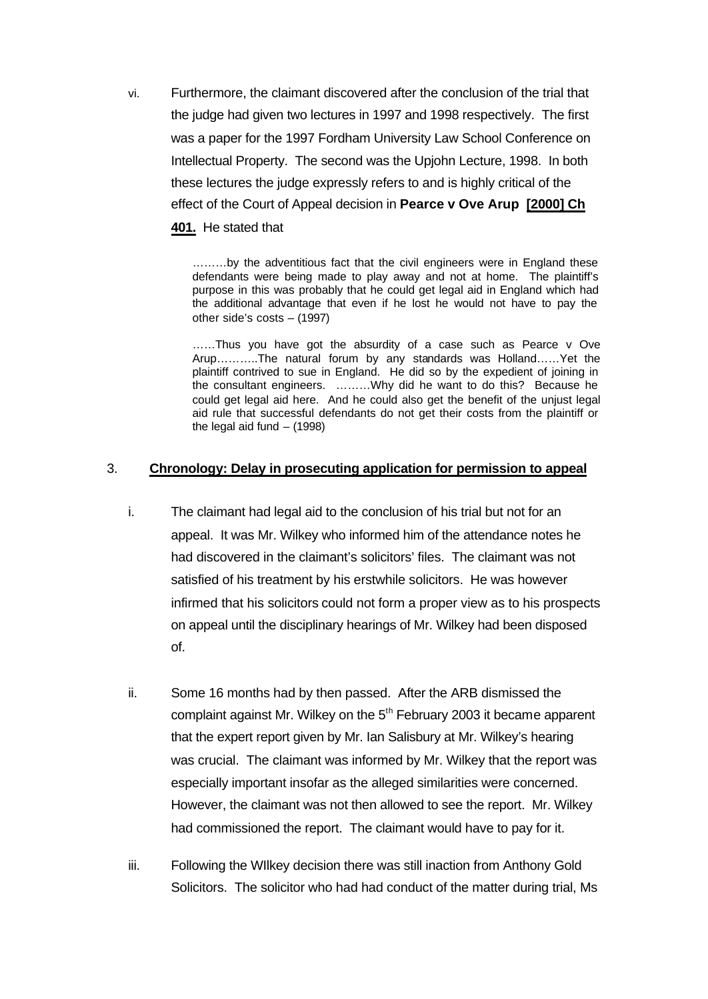vi. Furthermore, the claimant discovered after the conclusion of the trial that the judge had given two lectures in 1997 and 1998 respectively. The first was a paper for the 1997 Fordham University Law School Conference on Intellectual Property. The second was the Upjohn Lecture, 1998. In both these lectures the judge expressly refers to and is highly critical of the effect of the Court of Appeal decision in **Pearce v Ove Arup [2000] Ch 401.** He stated that

> ………by the adventitious fact that the civil engineers were in England these defendants were being made to play away and not at home. The plaintiff's purpose in this was probably that he could get legal aid in England which had the additional advantage that even if he lost he would not have to pay the other side's costs – (1997)

> ……Thus you have got the absurdity of a case such as Pearce v Ove Arup………..The natural forum by any standards was Holland……Yet the plaintiff contrived to sue in England. He did so by the expedient of joining in the consultant engineers. ………Why did he want to do this? Because he could get legal aid here. And he could also get the benefit of the unjust legal aid rule that successful defendants do not get their costs from the plaintiff or the legal aid fund  $-$  (1998)

## 3. **Chronology: Delay in prosecuting application for permission to appeal**

- i. The claimant had legal aid to the conclusion of his trial but not for an appeal. It was Mr. Wilkey who informed him of the attendance notes he had discovered in the claimant's solicitors' files. The claimant was not satisfied of his treatment by his erstwhile solicitors. He was however infirmed that his solicitors could not form a proper view as to his prospects on appeal until the disciplinary hearings of Mr. Wilkey had been disposed of.
- ii. Some 16 months had by then passed. After the ARB dismissed the complaint against Mr. Wilkey on the 5<sup>th</sup> February 2003 it became apparent that the expert report given by Mr. Ian Salisbury at Mr. Wilkey's hearing was crucial. The claimant was informed by Mr. Wilkey that the report was especially important insofar as the alleged similarities were concerned. However, the claimant was not then allowed to see the report. Mr. Wilkey had commissioned the report. The claimant would have to pay for it.
- iii. Following the WIlkey decision there was still inaction from Anthony Gold Solicitors. The solicitor who had had conduct of the matter during trial, Ms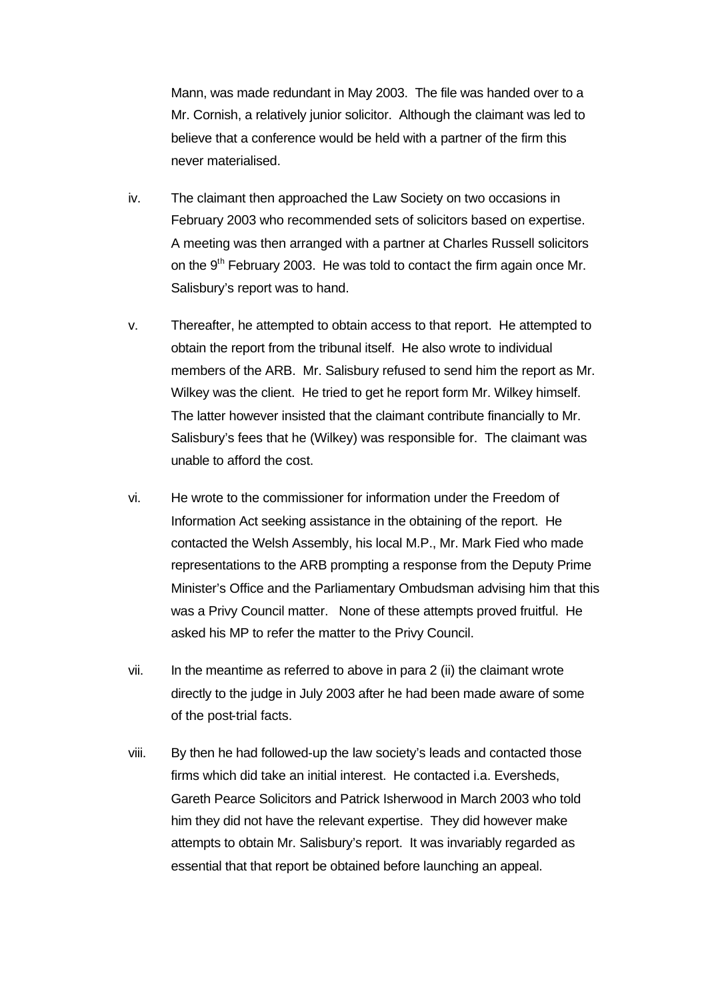Mann, was made redundant in May 2003. The file was handed over to a Mr. Cornish, a relatively junior solicitor. Although the claimant was led to believe that a conference would be held with a partner of the firm this never materialised.

- iv. The claimant then approached the Law Society on two occasions in February 2003 who recommended sets of solicitors based on expertise. A meeting was then arranged with a partner at Charles Russell solicitors on the  $9<sup>th</sup>$  February 2003. He was told to contact the firm again once Mr. Salisbury's report was to hand.
- v. Thereafter, he attempted to obtain access to that report. He attempted to obtain the report from the tribunal itself. He also wrote to individual members of the ARB. Mr. Salisbury refused to send him the report as Mr. Wilkey was the client. He tried to get he report form Mr. Wilkey himself. The latter however insisted that the claimant contribute financially to Mr. Salisbury's fees that he (Wilkey) was responsible for. The claimant was unable to afford the cost.
- vi. He wrote to the commissioner for information under the Freedom of Information Act seeking assistance in the obtaining of the report. He contacted the Welsh Assembly, his local M.P., Mr. Mark Fied who made representations to the ARB prompting a response from the Deputy Prime Minister's Office and the Parliamentary Ombudsman advising him that this was a Privy Council matter. None of these attempts proved fruitful. He asked his MP to refer the matter to the Privy Council.
- vii. In the meantime as referred to above in para 2 (ii) the claimant wrote directly to the judge in July 2003 after he had been made aware of some of the post-trial facts.
- viii. By then he had followed-up the law society's leads and contacted those firms which did take an initial interest. He contacted i.a. Eversheds, Gareth Pearce Solicitors and Patrick Isherwood in March 2003 who told him they did not have the relevant expertise. They did however make attempts to obtain Mr. Salisbury's report. It was invariably regarded as essential that that report be obtained before launching an appeal.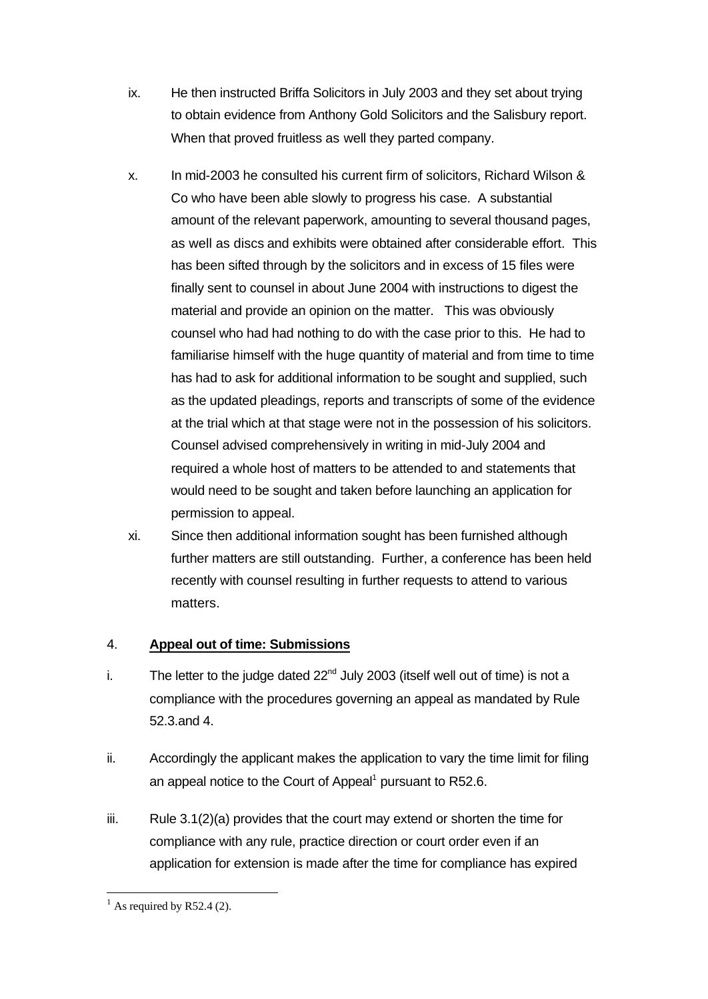- ix. He then instructed Briffa Solicitors in July 2003 and they set about trying to obtain evidence from Anthony Gold Solicitors and the Salisbury report. When that proved fruitless as well they parted company.
- x. In mid-2003 he consulted his current firm of solicitors, Richard Wilson & Co who have been able slowly to progress his case. A substantial amount of the relevant paperwork, amounting to several thousand pages, as well as discs and exhibits were obtained after considerable effort. This has been sifted through by the solicitors and in excess of 15 files were finally sent to counsel in about June 2004 with instructions to digest the material and provide an opinion on the matter. This was obviously counsel who had had nothing to do with the case prior to this. He had to familiarise himself with the huge quantity of material and from time to time has had to ask for additional information to be sought and supplied, such as the updated pleadings, reports and transcripts of some of the evidence at the trial which at that stage were not in the possession of his solicitors. Counsel advised comprehensively in writing in mid-July 2004 and required a whole host of matters to be attended to and statements that would need to be sought and taken before launching an application for permission to appeal.
- xi. Since then additional information sought has been furnished although further matters are still outstanding. Further, a conference has been held recently with counsel resulting in further requests to attend to various matters.

# 4. **Appeal out of time: Submissions**

- i. The letter to the judge dated  $22<sup>nd</sup>$  July 2003 (itself well out of time) is not a compliance with the procedures governing an appeal as mandated by Rule 52.3.and 4.
- ii. Accordingly the applicant makes the application to vary the time limit for filing an appeal notice to the Court of Appeal<sup>1</sup> pursuant to R52.6.
- $iii.$  Rule 3.1(2)(a) provides that the court may extend or shorten the time for compliance with any rule, practice direction or court order even if an application for extension is made after the time for compliance has expired

l  $<sup>1</sup>$  As required by R52.4 (2).</sup>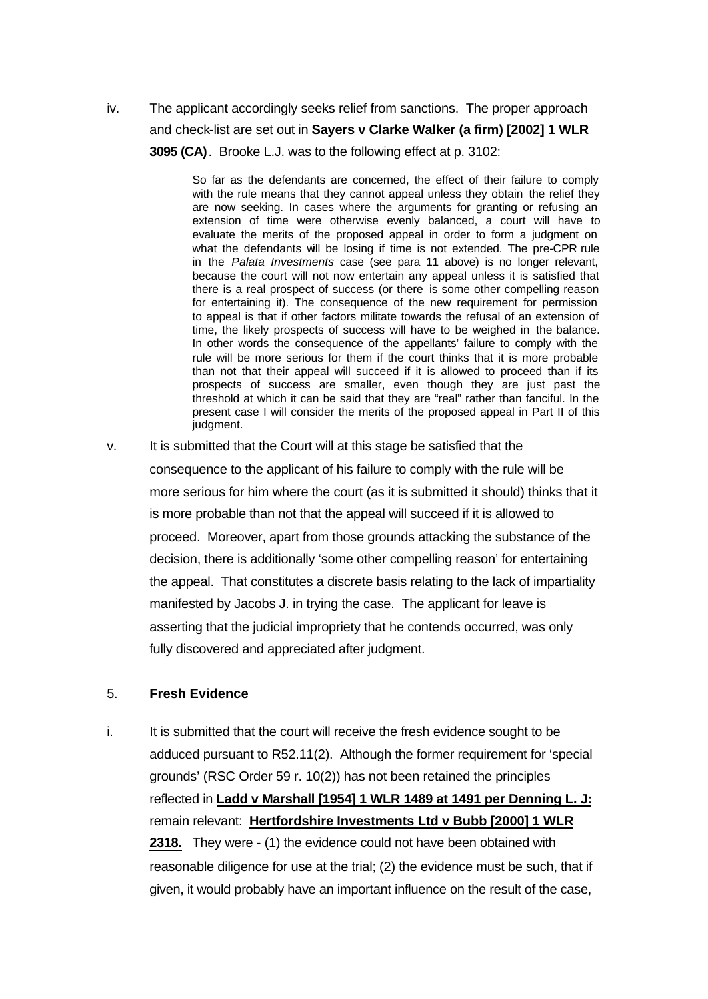iv. The applicant accordingly seeks relief from sanctions. The proper approach and check-list are set out in **Sayers v Clarke Walker (a firm) [2002] 1 WLR 3095 (CA)**. Brooke L.J. was to the following effect at p. 3102:

> So far as the defendants are concerned, the effect of their failure to comply with the rule means that they cannot appeal unless they obtain the relief they are now seeking. In cases where the arguments for granting or refusing an extension of time were otherwise evenly balanced, a court will have to evaluate the merits of the proposed appeal in order to form a judgment on what the defendants will be losing if time is not extended. The pre-CPR rule in the *Palata Investments* case (see para 11 above) is no longer relevant, because the court will not now entertain any appeal unless it is satisfied that there is a real prospect of success (or there is some other compelling reason for entertaining it). The consequence of the new requirement for permission to appeal is that if other factors militate towards the refusal of an extension of time, the likely prospects of success will have to be weighed in the balance. In other words the consequence of the appellants' failure to comply with the rule will be more serious for them if the court thinks that it is more probable than not that their appeal will succeed if it is allowed to proceed than if its prospects of success are smaller, even though they are just past the threshold at which it can be said that they are "real" rather than fanciful. In the present case I will consider the merits of the proposed appeal in Part II of this judgment.

v. It is submitted that the Court will at this stage be satisfied that the consequence to the applicant of his failure to comply with the rule will be more serious for him where the court (as it is submitted it should) thinks that it is more probable than not that the appeal will succeed if it is allowed to proceed. Moreover, apart from those grounds attacking the substance of the decision, there is additionally 'some other compelling reason' for entertaining the appeal. That constitutes a discrete basis relating to the lack of impartiality manifested by Jacobs J. in trying the case. The applicant for leave is asserting that the judicial impropriety that he contends occurred, was only fully discovered and appreciated after judgment.

## 5. **Fresh Evidence**

i. It is submitted that the court will receive the fresh evidence sought to be adduced pursuant to R52.11(2). Although the former requirement for 'special grounds' (RSC Order 59 r. 10(2)) has not been retained the principles reflected in **Ladd v Marshall [1954] 1 WLR 1489 at 1491 per Denning L. J:** remain relevant: **Hertfordshire Investments Ltd v Bubb [2000] 1 WLR 2318.** They were - (1) the evidence could not have been obtained with reasonable diligence for use at the trial; (2) the evidence must be such, that if given, it would probably have an important influence on the result of the case,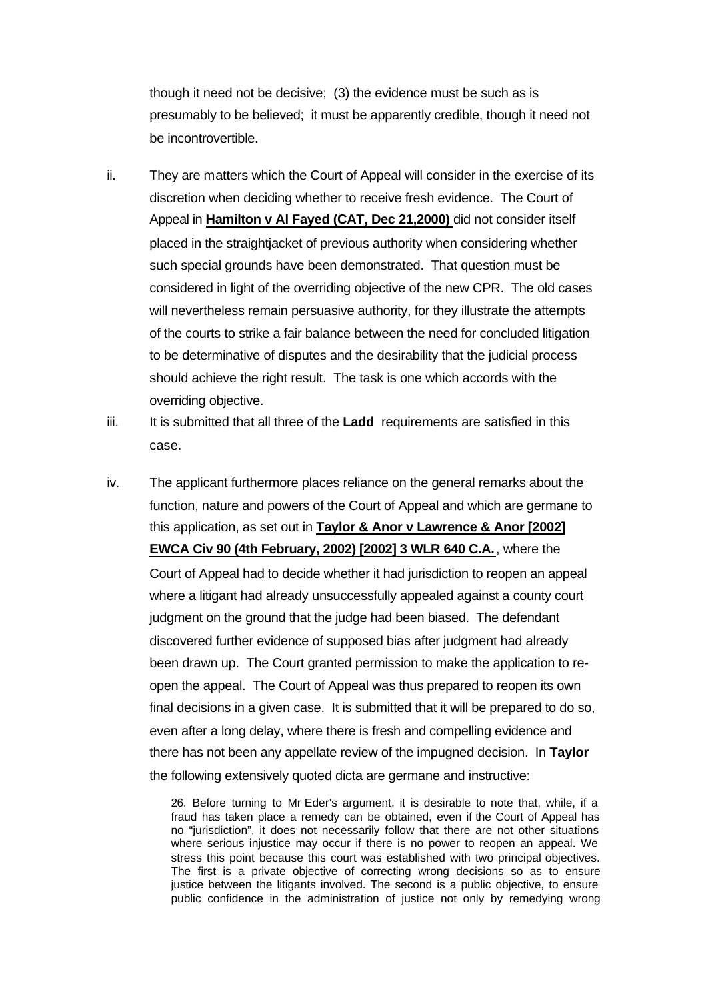though it need not be decisive; (3) the evidence must be such as is presumably to be believed; it must be apparently credible, though it need not be incontrovertible.

- ii. They are matters which the Court of Appeal will consider in the exercise of its discretion when deciding whether to receive fresh evidence. The Court of Appeal in **Hamilton v Al Fayed (CAT, Dec 21,2000)** did not consider itself placed in the straightjacket of previous authority when considering whether such special grounds have been demonstrated. That question must be considered in light of the overriding objective of the new CPR. The old cases will nevertheless remain persuasive authority, for they illustrate the attempts of the courts to strike a fair balance between the need for concluded litigation to be determinative of disputes and the desirability that the judicial process should achieve the right result. The task is one which accords with the overriding objective.
- iii. It is submitted that all three of the **Ladd** requirements are satisfied in this case.
- iv. The applicant furthermore places reliance on the general remarks about the function, nature and powers of the Court of Appeal and which are germane to this application, as set out in **Taylor & Anor v Lawrence & Anor [2002] EWCA Civ 90 (4th February, 2002) [2002] 3 WLR 640 C.A.**, where the Court of Appeal had to decide whether it had jurisdiction to reopen an appeal where a litigant had already unsuccessfully appealed against a county court judgment on the ground that the judge had been biased. The defendant discovered further evidence of supposed bias after judgment had already been drawn up. The Court granted permission to make the application to reopen the appeal. The Court of Appeal was thus prepared to reopen its own final decisions in a given case. It is submitted that it will be prepared to do so, even after a long delay, where there is fresh and compelling evidence and there has not been any appellate review of the impugned decision. In **Taylor**  the following extensively quoted dicta are germane and instructive:

26. Before turning to Mr Eder's argument, it is desirable to note that, while, if a fraud has taken place a remedy can be obtained, even if the Court of Appeal has no "jurisdiction", it does not necessarily follow that there are not other situations where serious injustice may occur if there is no power to reopen an appeal. We stress this point because this court was established with two principal objectives. The first is a private objective of correcting wrong decisions so as to ensure justice between the litigants involved. The second is a public objective, to ensure public confidence in the administration of justice not only by remedying wrong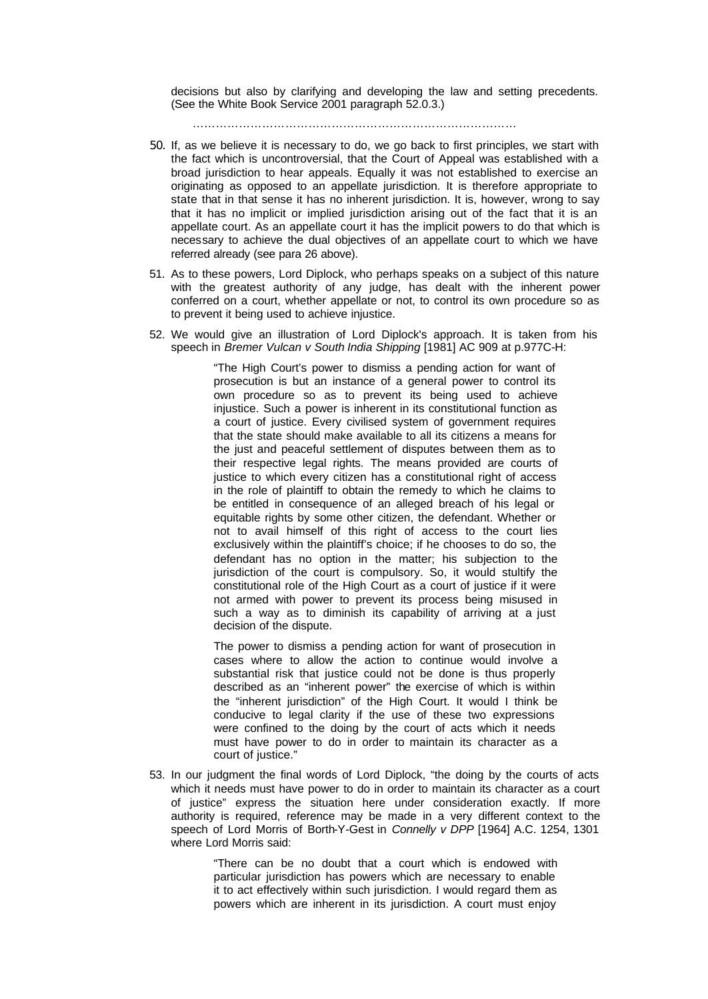decisions but also by clarifying and developing the law and setting precedents. (See the White Book Service 2001 paragraph 52.0.3.)

…………………………………………………………………………

- 50. If, as we believe it is necessary to do, we go back to first principles, we start with the fact which is uncontroversial, that the Court of Appeal was established with a broad jurisdiction to hear appeals. Equally it was not established to exercise an originating as opposed to an appellate jurisdiction. It is therefore appropriate to state that in that sense it has no inherent jurisdiction. It is, however, wrong to say that it has no implicit or implied jurisdiction arising out of the fact that it is an appellate court. As an appellate court it has the implicit powers to do that which is necessary to achieve the dual objectives of an appellate court to which we have referred already (see para 26 above).
- 51. As to these powers, Lord Diplock, who perhaps speaks on a subject of this nature with the greatest authority of any judge, has dealt with the inherent power conferred on a court, whether appellate or not, to control its own procedure so as to prevent it being used to achieve injustice.
- 52. We would give an illustration of Lord Diplock's approach. It is taken from his speech in *Bremer Vulcan v South India Shipping* [1981] AC 909 at p.977C-H:

"The High Court's power to dismiss a pending action for want of prosecution is but an instance of a general power to control its own procedure so as to prevent its being used to achieve injustice. Such a power is inherent in its constitutional function as a court of justice. Every civilised system of government requires that the state should make available to all its citizens a means for the just and peaceful settlement of disputes between them as to their respective legal rights. The means provided are courts of justice to which every citizen has a constitutional right of access in the role of plaintiff to obtain the remedy to which he claims to be entitled in consequence of an alleged breach of his legal or equitable rights by some other citizen, the defendant. Whether or not to avail himself of this right of access to the court lies exclusively within the plaintiff's choice; if he chooses to do so, the defendant has no option in the matter; his subjection to the jurisdiction of the court is compulsory. So, it would stultify the constitutional role of the High Court as a court of justice if it were not armed with power to prevent its process being misused in such a way as to diminish its capability of arriving at a just decision of the dispute.

The power to dismiss a pending action for want of prosecution in cases where to allow the action to continue would involve a substantial risk that justice could not be done is thus properly described as an "inherent power" the exercise of which is within the "inherent jurisdiction" of the High Court. It would I think be conducive to legal clarity if the use of these two expressions were confined to the doing by the court of acts which it needs must have power to do in order to maintain its character as a court of justice."

53. In our judgment the final words of Lord Diplock, "the doing by the courts of acts which it needs must have power to do in order to maintain its character as a court of justice" express the situation here under consideration exactly. If more authority is required, reference may be made in a very different context to the speech of Lord Morris of Borth-Y-Gest in *Connelly v DPP* [1964] A.C. 1254, 1301 where Lord Morris said:

> "There can be no doubt that a court which is endowed with particular jurisdiction has powers which are necessary to enable it to act effectively within such jurisdiction. I would regard them as powers which are inherent in its jurisdiction. A court must enjoy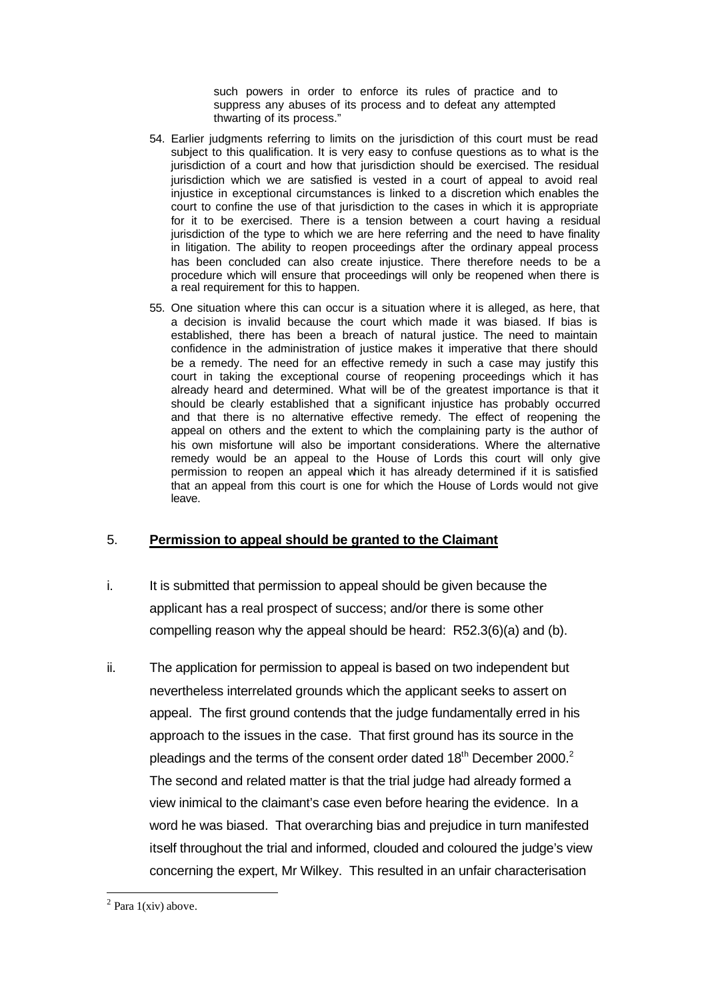such powers in order to enforce its rules of practice and to suppress any abuses of its process and to defeat any attempted thwarting of its process."

- 54. Earlier judgments referring to limits on the jurisdiction of this court must be read subject to this qualification. It is very easy to confuse questions as to what is the jurisdiction of a court and how that jurisdiction should be exercised. The residual jurisdiction which we are satisfied is vested in a court of appeal to avoid real injustice in exceptional circumstances is linked to a discretion which enables the court to confine the use of that jurisdiction to the cases in which it is appropriate for it to be exercised. There is a tension between a court having a residual jurisdiction of the type to which we are here referring and the need to have finality in litigation. The ability to reopen proceedings after the ordinary appeal process has been concluded can also create injustice. There therefore needs to be a procedure which will ensure that proceedings will only be reopened when there is a real requirement for this to happen.
- 55. One situation where this can occur is a situation where it is alleged, as here, that a decision is invalid because the court which made it was biased. If bias is established, there has been a breach of natural justice. The need to maintain confidence in the administration of justice makes it imperative that there should be a remedy. The need for an effective remedy in such a case may justify this court in taking the exceptional course of reopening proceedings which it has already heard and determined. What will be of the greatest importance is that it should be clearly established that a significant injustice has probably occurred and that there is no alternative effective remedy. The effect of reopening the appeal on others and the extent to which the complaining party is the author of his own misfortune will also be important considerations. Where the alternative remedy would be an appeal to the House of Lords this court will only give permission to reopen an appeal which it has already determined if it is satisfied that an appeal from this court is one for which the House of Lords would not give leave.

# 5. **Permission to appeal should be granted to the Claimant**

- i. It is submitted that permission to appeal should be given because the applicant has a real prospect of success; and/or there is some other compelling reason why the appeal should be heard: R52.3(6)(a) and (b).
- ii. The application for permission to appeal is based on two independent but nevertheless interrelated grounds which the applicant seeks to assert on appeal. The first ground contends that the judge fundamentally erred in his approach to the issues in the case. That first ground has its source in the pleadings and the terms of the consent order dated 18<sup>th</sup> December 2000.<sup>2</sup> The second and related matter is that the trial judge had already formed a view inimical to the claimant's case even before hearing the evidence. In a word he was biased. That overarching bias and prejudice in turn manifested itself throughout the trial and informed, clouded and coloured the judge's view concerning the expert, Mr Wilkey. This resulted in an unfair characterisation

l  $2$  Para 1(xiv) above.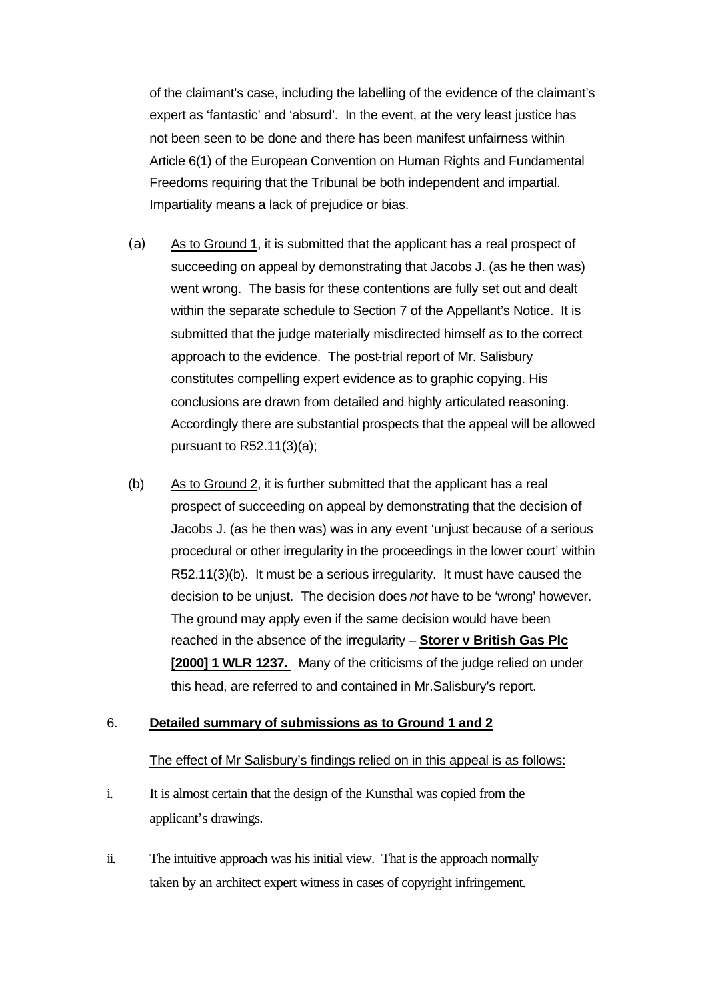of the claimant's case, including the labelling of the evidence of the claimant's expert as 'fantastic' and 'absurd'. In the event, at the very least justice has not been seen to be done and there has been manifest unfairness within Article 6(1) of the European Convention on Human Rights and Fundamental Freedoms requiring that the Tribunal be both independent and impartial. Impartiality means a lack of prejudice or bias.

- (a) As to Ground 1, it is submitted that the applicant has a real prospect of succeeding on appeal by demonstrating that Jacobs J. (as he then was) went wrong. The basis for these contentions are fully set out and dealt within the separate schedule to Section 7 of the Appellant's Notice. It is submitted that the judge materially misdirected himself as to the correct approach to the evidence. The post-trial report of Mr. Salisbury constitutes compelling expert evidence as to graphic copying. His conclusions are drawn from detailed and highly articulated reasoning. Accordingly there are substantial prospects that the appeal will be allowed pursuant to R52.11(3)(a);
- (b) As to Ground 2, it is further submitted that the applicant has a real prospect of succeeding on appeal by demonstrating that the decision of Jacobs J. (as he then was) was in any event 'unjust because of a serious procedural or other irregularity in the proceedings in the lower court' within R52.11(3)(b). It must be a serious irregularity. It must have caused the decision to be unjust. The decision does *not* have to be 'wrong' however. The ground may apply even if the same decision would have been reached in the absence of the irregularity – **Storer v British Gas Plc [2000] 1 WLR 1237.** Many of the criticisms of the judge relied on under this head, are referred to and contained in Mr.Salisbury's report.

### 6. **Detailed summary of submissions as to Ground 1 and 2**

## The effect of Mr Salisbury's findings relied on in this appeal is as follows:

- i. It is almost certain that the design of the Kunsthal was copied from the applicant's drawings.
- ii. The intuitive approach was his initial view. That is the approach normally taken by an architect expert witness in cases of copyright infringement.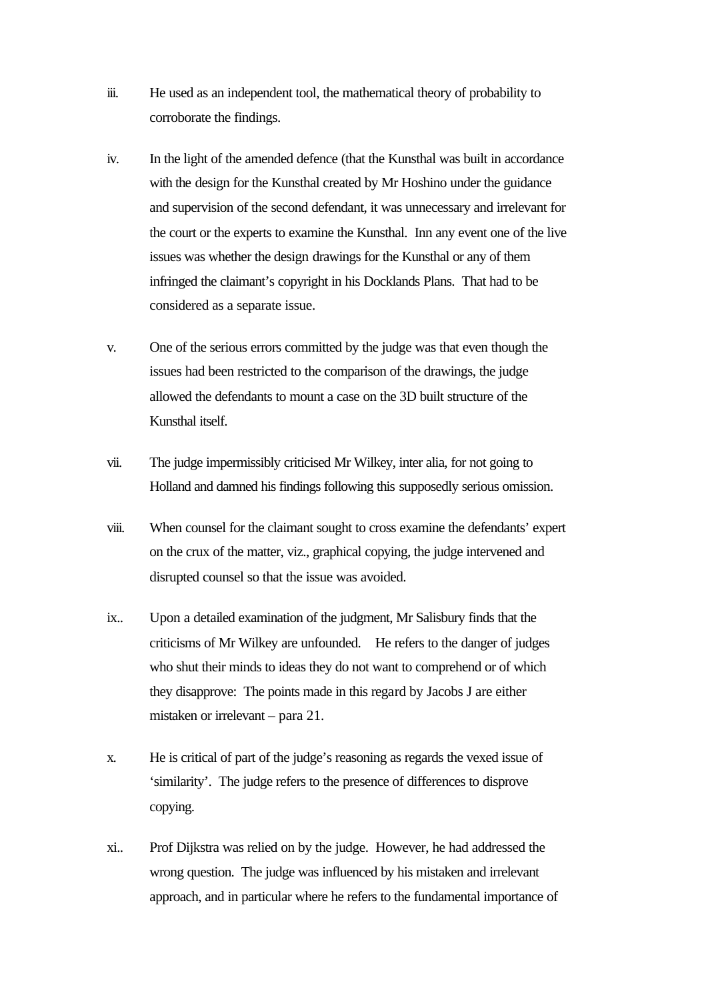- iii. He used as an independent tool, the mathematical theory of probability to corroborate the findings.
- iv. In the light of the amended defence (that the Kunsthal was built in accordance with the design for the Kunsthal created by Mr Hoshino under the guidance and supervision of the second defendant, it was unnecessary and irrelevant for the court or the experts to examine the Kunsthal. Inn any event one of the live issues was whether the design drawings for the Kunsthal or any of them infringed the claimant's copyright in his Docklands Plans. That had to be considered as a separate issue.
- v. One of the serious errors committed by the judge was that even though the issues had been restricted to the comparison of the drawings, the judge allowed the defendants to mount a case on the 3D built structure of the Kunsthal itself.
- vii. The judge impermissibly criticised Mr Wilkey, inter alia, for not going to Holland and damned his findings following this supposedly serious omission.
- viii. When counsel for the claimant sought to cross examine the defendants' expert on the crux of the matter, viz., graphical copying, the judge intervened and disrupted counsel so that the issue was avoided.
- ix.. Upon a detailed examination of the judgment, Mr Salisbury finds that the criticisms of Mr Wilkey are unfounded. He refers to the danger of judges who shut their minds to ideas they do not want to comprehend or of which they disapprove: The points made in this regard by Jacobs J are either mistaken or irrelevant – para 21.
- x. He is critical of part of the judge's reasoning as regards the vexed issue of 'similarity'. The judge refers to the presence of differences to disprove copying.
- xi.. Prof Dijkstra was relied on by the judge. However, he had addressed the wrong question. The judge was influenced by his mistaken and irrelevant approach, and in particular where he refers to the fundamental importance of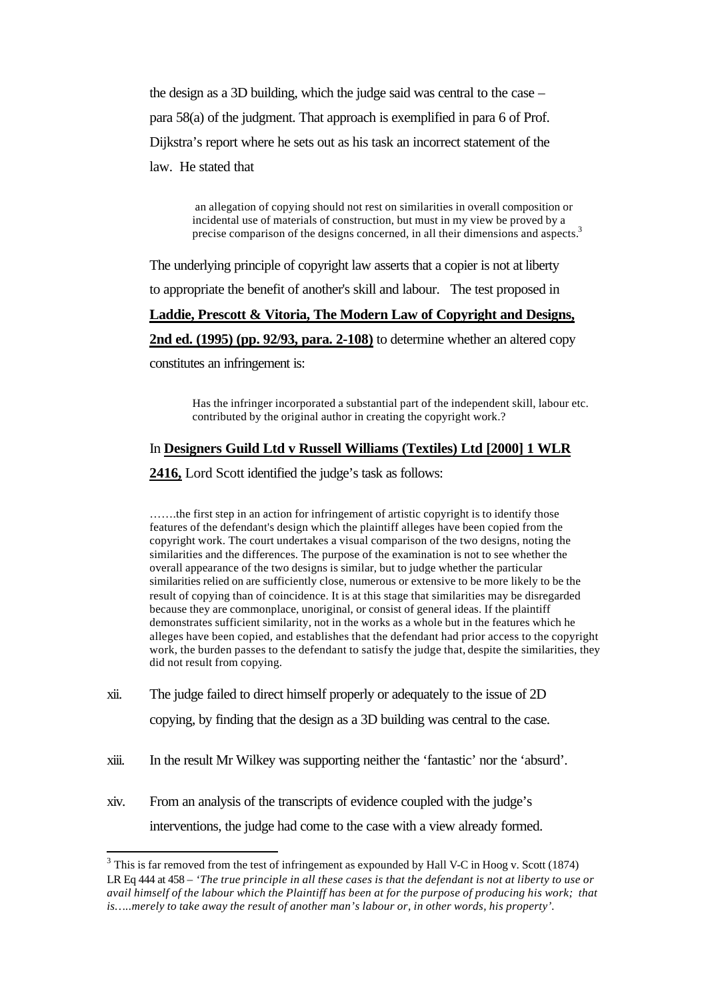the design as a 3D building, which the judge said was central to the case – para 58(a) of the judgment. That approach is exemplified in para 6 of Prof. Dijkstra's report where he sets out as his task an incorrect statement of the law. He stated that

> an allegation of copying should not rest on similarities in overall composition or incidental use of materials of construction, but must in my view be proved by a precise comparison of the designs concerned, in all their dimensions and aspects.<sup>3</sup>

The underlying principle of copyright law asserts that a copier is not at liberty to appropriate the benefit of another's skill and labour. The test proposed in

## **Laddie, Prescott & Vitoria, The Modern Law of Copyright and Designs,**

**2nd ed. (1995) (pp. 92/93, para. 2-108)** to determine whether an altered copy

constitutes an infringement is:

l

Has the infringer incorporated a substantial part of the independent skill, labour etc. contributed by the original author in creating the copyright work.?

# In **Designers Guild Ltd v Russell Williams (Textiles) Ltd [2000] 1 WLR**

**2416,** Lord Scott identified the judge's task as follows:

…….the first step in an action for infringement of artistic copyright is to identify those features of the defendant's design which the plaintiff alleges have been copied from the copyright work. The court undertakes a visual comparison of the two designs, noting the similarities and the differences. The purpose of the examination is not to see whether the overall appearance of the two designs is similar, but to judge whether the particular similarities relied on are sufficiently close, numerous or extensive to be more likely to be the result of copying than of coincidence. It is at this stage that similarities may be disregarded because they are commonplace, unoriginal, or consist of general ideas. If the plaintiff demonstrates sufficient similarity, not in the works as a whole but in the features which he alleges have been copied, and establishes that the defendant had prior access to the copyright work, the burden passes to the defendant to satisfy the judge that, despite the similarities, they did not result from copying.

- xii. The judge failed to direct himself properly or adequately to the issue of 2D copying, by finding that the design as a 3D building was central to the case.
- xiii. In the result Mr Wilkey was supporting neither the 'fantastic' nor the 'absurd'.
- xiv. From an analysis of the transcripts of evidence coupled with the judge's interventions, the judge had come to the case with a view already formed.

 $3$  This is far removed from the test of infringement as expounded by Hall V-C in Hoog v. Scott (1874) LR Eq 444 at 458 – *'The true principle in all these cases is that the defendant is not at liberty to use or avail himself of the labour which the Plaintiff has been at for the purpose of producing his work; that is…..merely to take away the result of another man's labour or, in other words, his property'.*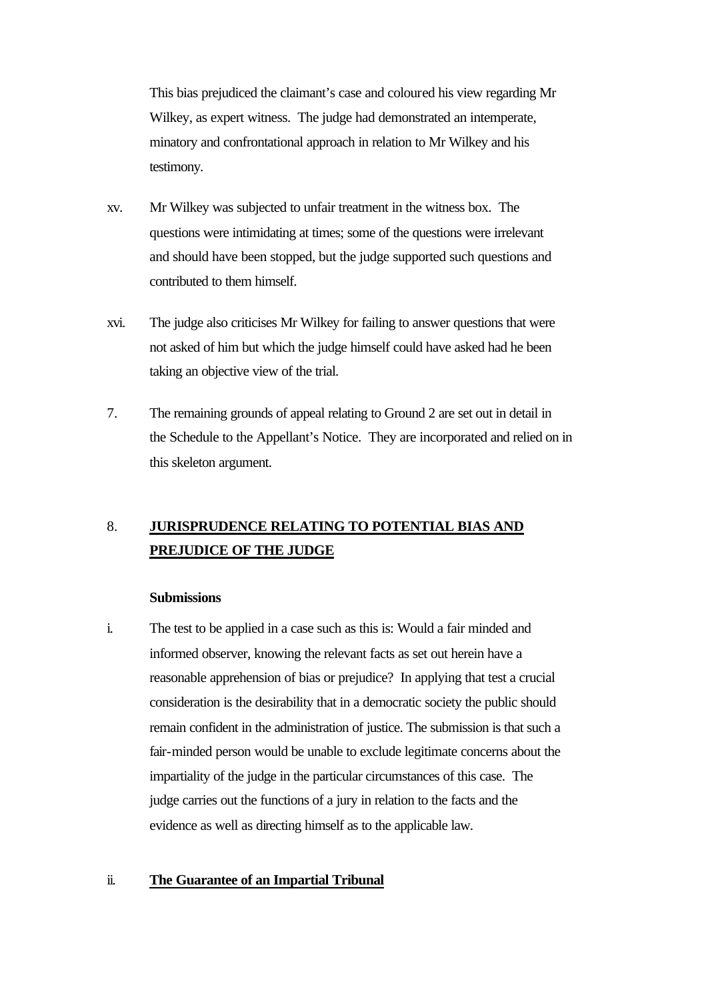This bias prejudiced the claimant's case and coloured his view regarding Mr Wilkey, as expert witness. The judge had demonstrated an intemperate, minatory and confrontational approach in relation to Mr Wilkey and his testimony.

- xv. Mr Wilkey was subjected to unfair treatment in the witness box. The questions were intimidating at times; some of the questions were irrelevant and should have been stopped, but the judge supported such questions and contributed to them himself.
- xvi. The judge also criticises Mr Wilkey for failing to answer questions that were not asked of him but which the judge himself could have asked had he been taking an objective view of the trial.
- 7. The remaining grounds of appeal relating to Ground 2 are set out in detail in the Schedule to the Appellant's Notice. They are incorporated and relied on in this skeleton argument.

# 8. **JURISPRUDENCE RELATING TO POTENTIAL BIAS AND PREJUDICE OF THE JUDGE**

### **Submissions**

i. The test to be applied in a case such as this is: Would a fair minded and informed observer, knowing the relevant facts as set out herein have a reasonable apprehension of bias or prejudice? In applying that test a crucial consideration is the desirability that in a democratic society the public should remain confident in the administration of justice. The submission is that such a fair-minded person would be unable to exclude legitimate concerns about the impartiality of the judge in the particular circumstances of this case. The judge carries out the functions of a jury in relation to the facts and the evidence as well as directing himself as to the applicable law.

#### ii. **The Guarantee of an Impartial Tribunal**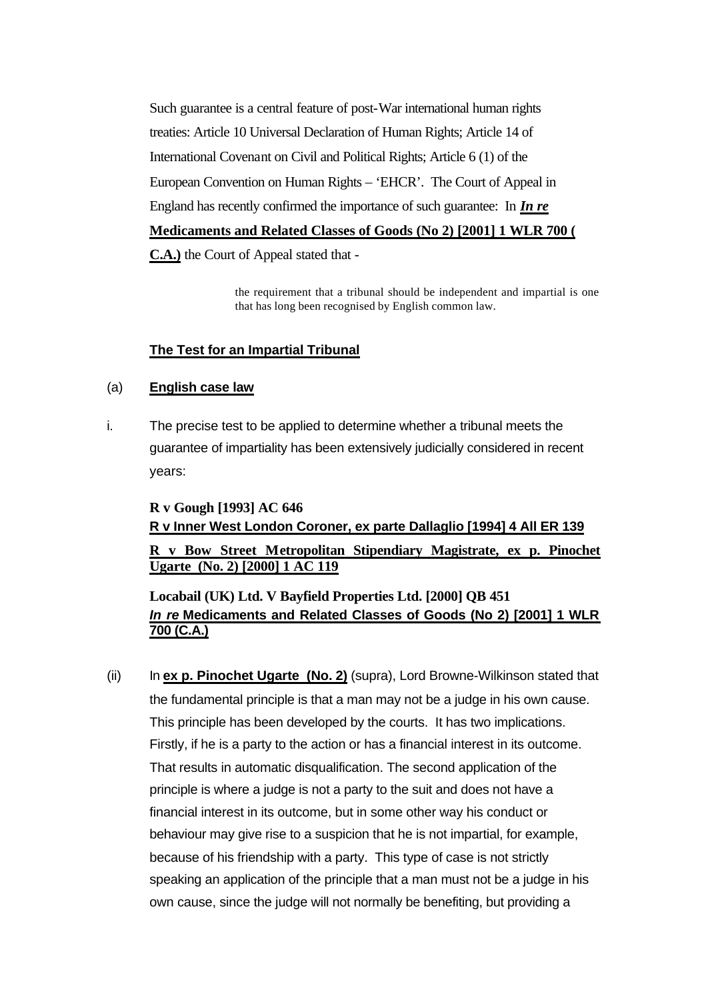Such guarantee is a central feature of post-War international human rights treaties: Article 10 Universal Declaration of Human Rights; Article 14 of International Covenant on Civil and Political Rights; Article 6 (1) of the European Convention on Human Rights – 'EHCR'. The Court of Appeal in England has recently confirmed the importance of such guarantee: In *In re* **Medicaments and Related Classes of Goods (No 2) [2001] 1 WLR 700 ( C.A.)** the Court of Appeal stated that -

> the requirement that a tribunal should be independent and impartial is one that has long been recognised by English common law.

# **The Test for an Impartial Tribunal**

## (a) **English case law**

i. The precise test to be applied to determine whether a tribunal meets the guarantee of impartiality has been extensively judicially considered in recent years:

# **R v Gough [1993] AC 646 R v Inner West London Coroner, ex parte Dallaglio [1994] 4 All ER 139 R v Bow Street Metropolitan Stipendiary Magistrate, ex p. Pinochet Ugarte (No. 2) [2000] 1 AC 119**

# **Locabail (UK) Ltd. V Bayfield Properties Ltd. [2000] QB 451** *In re* **Medicaments and Related Classes of Goods (No 2) [2001] 1 WLR 700 (C.A.)**

(ii) In **ex p. Pinochet Ugarte (No. 2)** (supra), Lord Browne-Wilkinson stated that the fundamental principle is that a man may not be a judge in his own cause. This principle has been developed by the courts. It has two implications. Firstly, if he is a party to the action or has a financial interest in its outcome. That results in automatic disqualification. The second application of the principle is where a judge is not a party to the suit and does not have a financial interest in its outcome, but in some other way his conduct or behaviour may give rise to a suspicion that he is not impartial, for example, because of his friendship with a party. This type of case is not strictly speaking an application of the principle that a man must not be a judge in his own cause, since the judge will not normally be benefiting, but providing a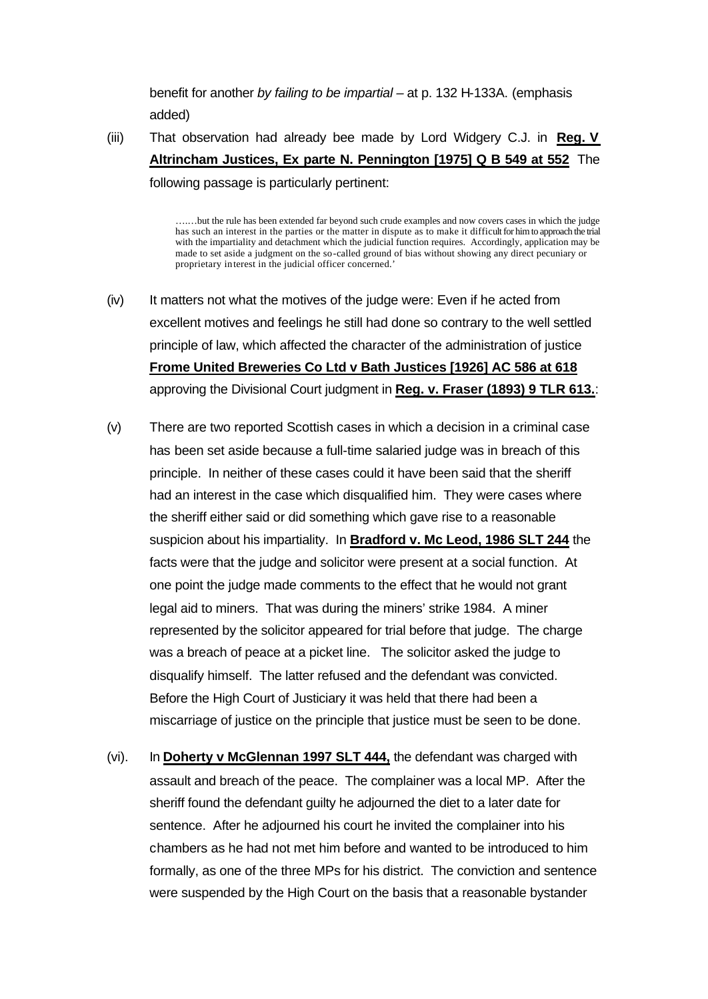benefit for another *by failing to be impartial –* at p. 132 H-133A. (emphasis added)

(iii) That observation had already bee made by Lord Widgery C.J. in **Reg. V Altrincham Justices, Ex parte N. Pennington [1975] Q B 549 at 552** The following passage is particularly pertinent:

….…but the rule has been extended far beyond such crude examples and now covers cases in which the judge has such an interest in the parties or the matter in dispute as to make it difficult for him to approach the trial with the impartiality and detachment which the judicial function requires. Accordingly, application may be made to set aside a judgment on the so-called ground of bias without showing any direct pecuniary or proprietary interest in the judicial officer concerned.'

- (iv) It matters not what the motives of the judge were: Even if he acted from excellent motives and feelings he still had done so contrary to the well settled principle of law, which affected the character of the administration of justice **Frome United Breweries Co Ltd v Bath Justices [1926] AC 586 at 618** approving the Divisional Court judgment in **Reg. v. Fraser (1893) 9 TLR 613.**:
- (v) There are two reported Scottish cases in which a decision in a criminal case has been set aside because a full-time salaried judge was in breach of this principle. In neither of these cases could it have been said that the sheriff had an interest in the case which disqualified him. They were cases where the sheriff either said or did something which gave rise to a reasonable suspicion about his impartiality. In **Bradford v. Mc Leod, 1986 SLT 244** the facts were that the judge and solicitor were present at a social function. At one point the judge made comments to the effect that he would not grant legal aid to miners. That was during the miners' strike 1984. A miner represented by the solicitor appeared for trial before that judge. The charge was a breach of peace at a picket line. The solicitor asked the judge to disqualify himself. The latter refused and the defendant was convicted. Before the High Court of Justiciary it was held that there had been a miscarriage of justice on the principle that justice must be seen to be done.
- (vi). In **Doherty v McGlennan 1997 SLT 444,** the defendant was charged with assault and breach of the peace. The complainer was a local MP. After the sheriff found the defendant guilty he adjourned the diet to a later date for sentence. After he adjourned his court he invited the complainer into his chambers as he had not met him before and wanted to be introduced to him formally, as one of the three MPs for his district. The conviction and sentence were suspended by the High Court on the basis that a reasonable bystander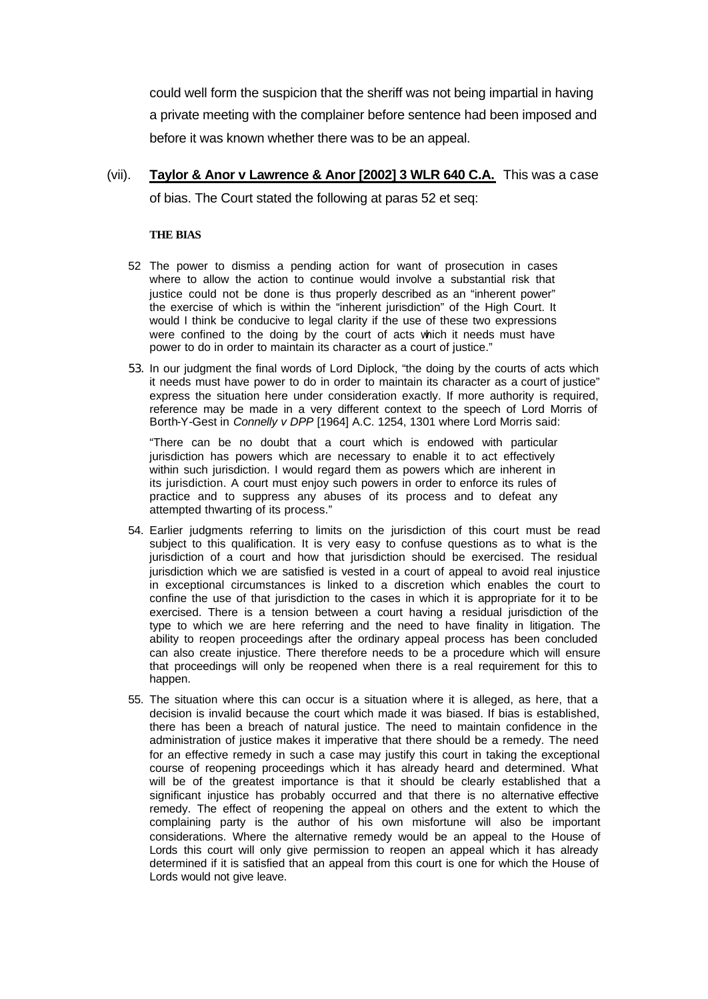could well form the suspicion that the sheriff was not being impartial in having a private meeting with the complainer before sentence had been imposed and before it was known whether there was to be an appeal.

(vii). **Taylor & Anor v Lawrence & Anor [2002] 3 WLR 640 C.A.** This was a case of bias. The Court stated the following at paras 52 et seq:

#### **THE BIAS**

- 52 The power to dismiss a pending action for want of prosecution in cases where to allow the action to continue would involve a substantial risk that justice could not be done is thus properly described as an "inherent power" the exercise of which is within the "inherent jurisdiction" of the High Court. It would I think be conducive to legal clarity if the use of these two expressions were confined to the doing by the court of acts which it needs must have power to do in order to maintain its character as a court of justice."
- 53. In our judgment the final words of Lord Diplock, "the doing by the courts of acts which it needs must have power to do in order to maintain its character as a court of justice" express the situation here under consideration exactly. If more authority is required, reference may be made in a very different context to the speech of Lord Morris of Borth-Y-Gest in *Connelly v DPP* [1964] A.C. 1254, 1301 where Lord Morris said:

"There can be no doubt that a court which is endowed with particular jurisdiction has powers which are necessary to enable it to act effectively within such jurisdiction. I would regard them as powers which are inherent in its jurisdiction. A court must enjoy such powers in order to enforce its rules of practice and to suppress any abuses of its process and to defeat any attempted thwarting of its process."

- 54. Earlier judgments referring to limits on the jurisdiction of this court must be read subject to this qualification. It is very easy to confuse questions as to what is the jurisdiction of a court and how that jurisdiction should be exercised. The residual jurisdiction which we are satisfied is vested in a court of appeal to avoid real injustice in exceptional circumstances is linked to a discretion which enables the court to confine the use of that jurisdiction to the cases in which it is appropriate for it to be exercised. There is a tension between a court having a residual jurisdiction of the type to which we are here referring and the need to have finality in litigation. The ability to reopen proceedings after the ordinary appeal process has been concluded can also create injustice. There therefore needs to be a procedure which will ensure that proceedings will only be reopened when there is a real requirement for this to happen.
- 55. The situation where this can occur is a situation where it is alleged, as here, that a decision is invalid because the court which made it was biased. If bias is established, there has been a breach of natural justice. The need to maintain confidence in the administration of justice makes it imperative that there should be a remedy. The need for an effective remedy in such a case may justify this court in taking the exceptional course of reopening proceedings which it has already heard and determined. What will be of the greatest importance is that it should be clearly established that a significant injustice has probably occurred and that there is no alternative effective remedy. The effect of reopening the appeal on others and the extent to which the complaining party is the author of his own misfortune will also be important considerations. Where the alternative remedy would be an appeal to the House of Lords this court will only give permission to reopen an appeal which it has already determined if it is satisfied that an appeal from this court is one for which the House of Lords would not give leave.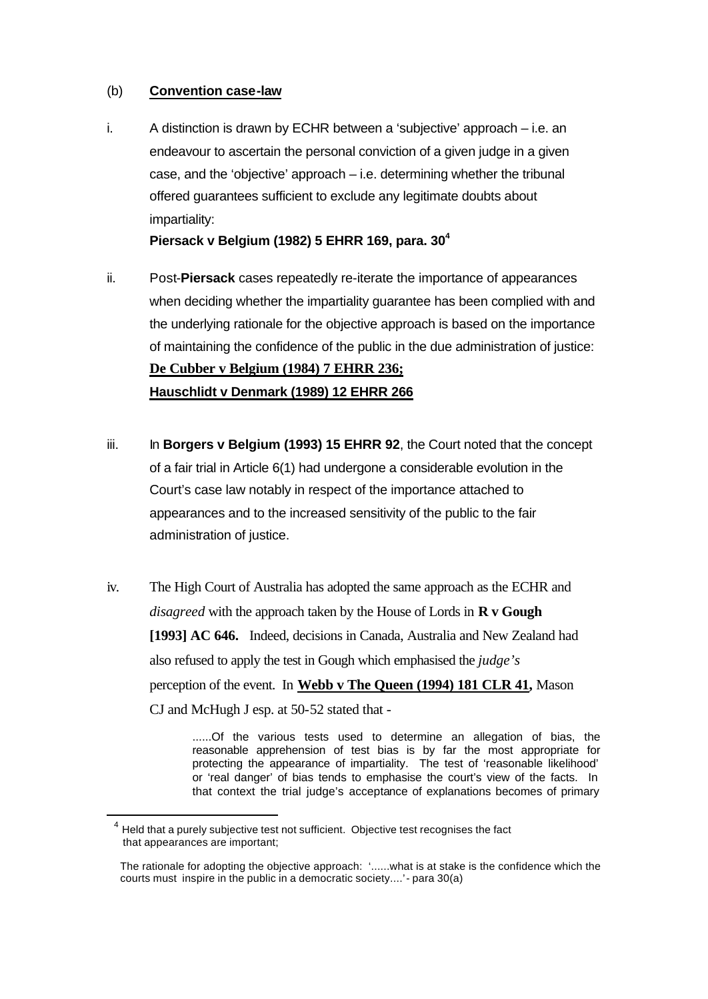## (b) **Convention case-law**

i. A distinction is drawn by ECHR between a 'subjective' approach – i.e. an endeavour to ascertain the personal conviction of a given judge in a given case, and the 'objective' approach – i.e. determining whether the tribunal offered guarantees sufficient to exclude any legitimate doubts about impartiality:

**Piersack v Belgium (1982) 5 EHRR 169, para. 30<sup>4</sup>**

- ii. Post-**Piersack** cases repeatedly re-iterate the importance of appearances when deciding whether the impartiality guarantee has been complied with and the underlying rationale for the objective approach is based on the importance of maintaining the confidence of the public in the due administration of justice: **De Cubber v Belgium (1984) 7 EHRR 236; Hauschlidt v Denmark (1989) 12 EHRR 266**
- iii. In **Borgers v Belgium (1993) 15 EHRR 92**, the Court noted that the concept of a fair trial in Article 6(1) had undergone a considerable evolution in the Court's case law notably in respect of the importance attached to appearances and to the increased sensitivity of the public to the fair administration of justice.
- iv. The High Court of Australia has adopted the same approach as the ECHR and *disagreed* with the approach taken by the House of Lords in **R v Gough [1993] AC 646.** Indeed, decisions in Canada, Australia and New Zealand had also refused to apply the test in Gough which emphasised the *judge's* perception of the event. In **Webb v The Queen (1994) 181 CLR 41,** Mason CJ and McHugh J esp. at 50-52 stated that -

......Of the various tests used to determine an allegation of bias, the reasonable apprehension of test bias is by far the most appropriate for protecting the appearance of impartiality. The test of 'reasonable likelihood' or 'real danger' of bias tends to emphasise the court's view of the facts. In that context the trial judge's acceptance of explanations becomes of primary

l

<sup>4</sup> Held that a purely subjective test not sufficient. Objective test recognises the fact that appearances are important;

The rationale for adopting the objective approach: '......what is at stake is the confidence which the courts must inspire in the public in a democratic society....'- para 30(a)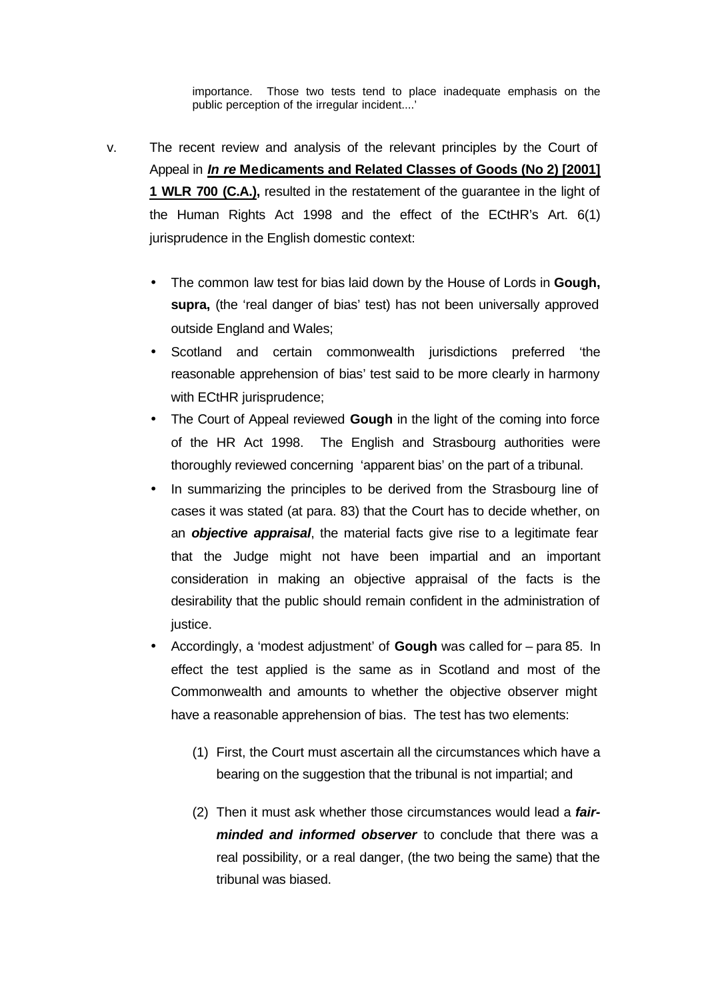importance. Those two tests tend to place inadequate emphasis on the public perception of the irregular incident....'

- v. The recent review and analysis of the relevant principles by the Court of Appeal in *In re* **Medicaments and Related Classes of Goods (No 2) [2001] 1 WLR 700 (C.A.),** resulted in the restatement of the guarantee in the light of the Human Rights Act 1998 and the effect of the ECtHR's Art. 6(1) jurisprudence in the English domestic context:
	- The common law test for bias laid down by the House of Lords in **Gough,**  supra, (the 'real danger of bias' test) has not been universally approved outside England and Wales;
	- Scotland and certain commonwealth jurisdictions preferred 'the reasonable apprehension of bias' test said to be more clearly in harmony with ECtHR jurisprudence;
	- The Court of Appeal reviewed **Gough** in the light of the coming into force of the HR Act 1998. The English and Strasbourg authorities were thoroughly reviewed concerning 'apparent bias' on the part of a tribunal.
	- In summarizing the principles to be derived from the Strasbourg line of cases it was stated (at para. 83) that the Court has to decide whether, on an *objective appraisal*, the material facts give rise to a legitimate fear that the Judge might not have been impartial and an important consideration in making an objective appraisal of the facts is the desirability that the public should remain confident in the administration of justice.
	- Accordingly, a 'modest adjustment' of **Gough** was called for para 85. In effect the test applied is the same as in Scotland and most of the Commonwealth and amounts to whether the objective observer might have a reasonable apprehension of bias. The test has two elements:
		- (1) First, the Court must ascertain all the circumstances which have a bearing on the suggestion that the tribunal is not impartial; and
		- (2) Then it must ask whether those circumstances would lead a *fairminded and informed observer* to conclude that there was a real possibility, or a real danger, (the two being the same) that the tribunal was biased.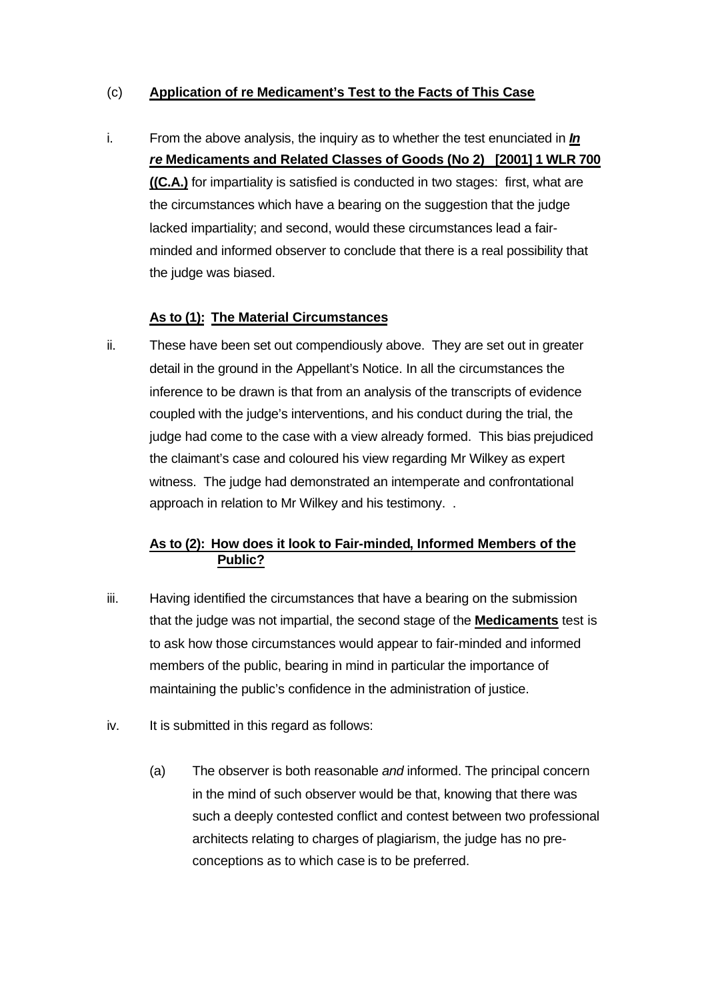# (c) **Application of re Medicament's Test to the Facts of This Case**

i. From the above analysis, the inquiry as to whether the test enunciated in *In re* **Medicaments and Related Classes of Goods (No 2) [2001] 1 WLR 700 ((C.A.)** for impartiality is satisfied is conducted in two stages: first, what are the circumstances which have a bearing on the suggestion that the judge lacked impartiality; and second, would these circumstances lead a fairminded and informed observer to conclude that there is a real possibility that the judge was biased.

# **As to (1): The Material Circumstances**

ii. These have been set out compendiously above. They are set out in greater detail in the ground in the Appellant's Notice. In all the circumstances the inference to be drawn is that from an analysis of the transcripts of evidence coupled with the judge's interventions, and his conduct during the trial, the judge had come to the case with a view already formed. This bias prejudiced the claimant's case and coloured his view regarding Mr Wilkey as expert witness. The judge had demonstrated an intemperate and confrontational approach in relation to Mr Wilkey and his testimony. .

# **As to (2): How does it look to Fair-minded, Informed Members of the Public?**

- iii. Having identified the circumstances that have a bearing on the submission that the judge was not impartial, the second stage of the **Medicaments** test is to ask how those circumstances would appear to fair-minded and informed members of the public, bearing in mind in particular the importance of maintaining the public's confidence in the administration of justice.
- iv. It is submitted in this regard as follows:
	- (a) The observer is both reasonable *and* informed. The principal concern in the mind of such observer would be that, knowing that there was such a deeply contested conflict and contest between two professional architects relating to charges of plagiarism, the judge has no preconceptions as to which case is to be preferred.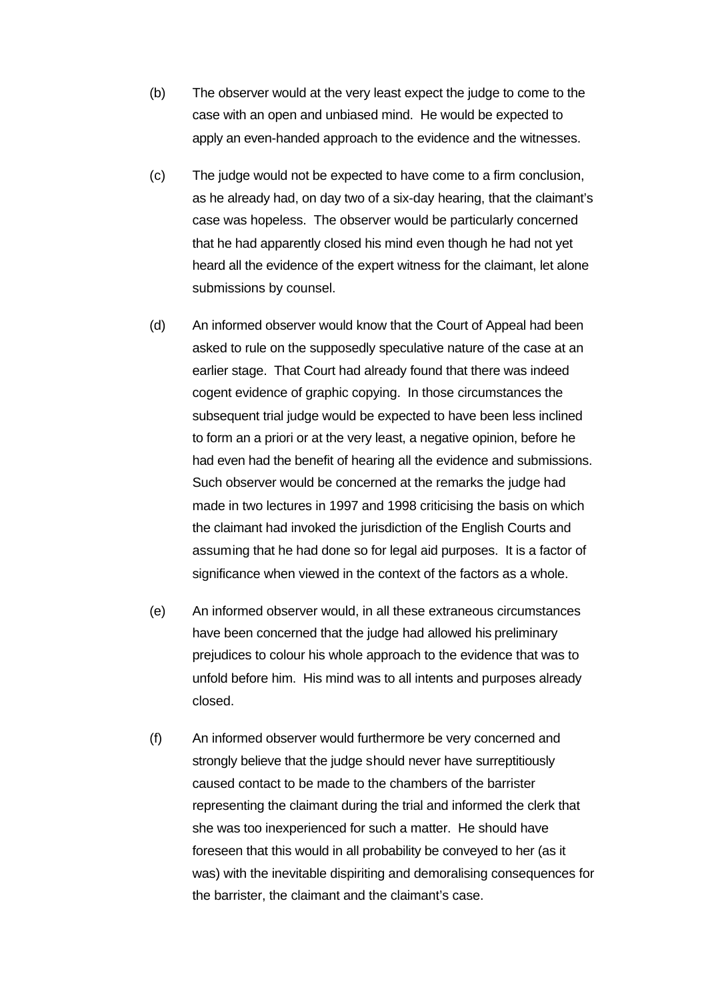- (b) The observer would at the very least expect the judge to come to the case with an open and unbiased mind. He would be expected to apply an even-handed approach to the evidence and the witnesses.
- (c) The judge would not be expected to have come to a firm conclusion, as he already had, on day two of a six-day hearing, that the claimant's case was hopeless. The observer would be particularly concerned that he had apparently closed his mind even though he had not yet heard all the evidence of the expert witness for the claimant, let alone submissions by counsel.
- (d) An informed observer would know that the Court of Appeal had been asked to rule on the supposedly speculative nature of the case at an earlier stage. That Court had already found that there was indeed cogent evidence of graphic copying. In those circumstances the subsequent trial judge would be expected to have been less inclined to form an a priori or at the very least, a negative opinion, before he had even had the benefit of hearing all the evidence and submissions. Such observer would be concerned at the remarks the judge had made in two lectures in 1997 and 1998 criticising the basis on which the claimant had invoked the jurisdiction of the English Courts and assuming that he had done so for legal aid purposes. It is a factor of significance when viewed in the context of the factors as a whole.
- (e) An informed observer would, in all these extraneous circumstances have been concerned that the judge had allowed his preliminary prejudices to colour his whole approach to the evidence that was to unfold before him. His mind was to all intents and purposes already closed.
- (f) An informed observer would furthermore be very concerned and strongly believe that the judge should never have surreptitiously caused contact to be made to the chambers of the barrister representing the claimant during the trial and informed the clerk that she was too inexperienced for such a matter. He should have foreseen that this would in all probability be conveyed to her (as it was) with the inevitable dispiriting and demoralising consequences for the barrister, the claimant and the claimant's case.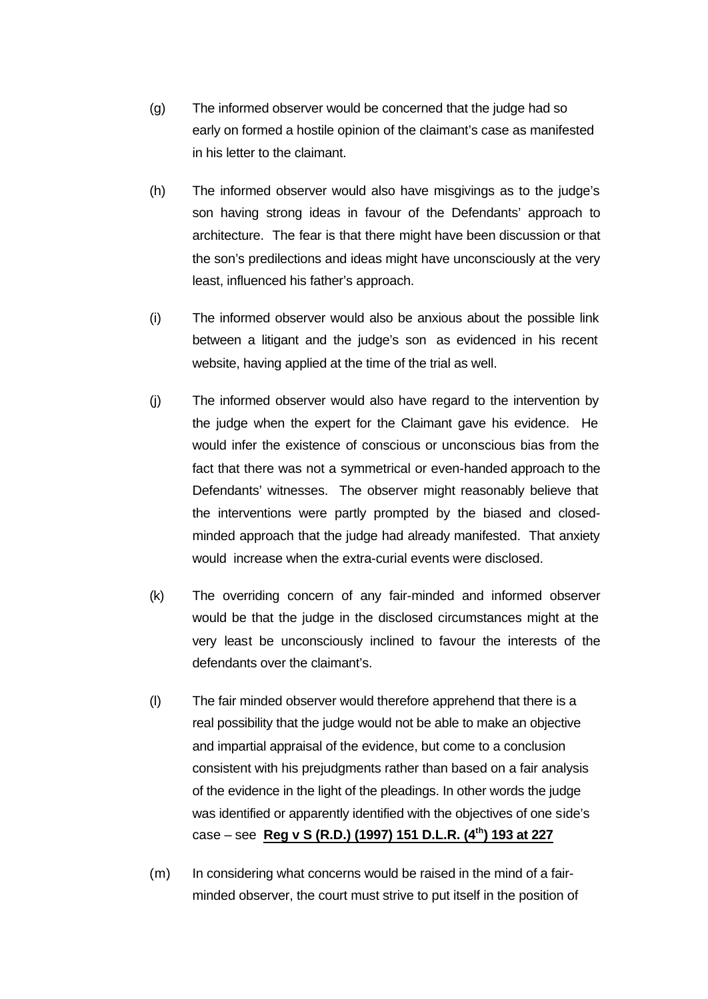- (g) The informed observer would be concerned that the judge had so early on formed a hostile opinion of the claimant's case as manifested in his letter to the claimant.
- (h) The informed observer would also have misgivings as to the judge's son having strong ideas in favour of the Defendants' approach to architecture. The fear is that there might have been discussion or that the son's predilections and ideas might have unconsciously at the very least, influenced his father's approach.
- (i) The informed observer would also be anxious about the possible link between a litigant and the judge's son as evidenced in his recent website, having applied at the time of the trial as well.
- (j) The informed observer would also have regard to the intervention by the judge when the expert for the Claimant gave his evidence. He would infer the existence of conscious or unconscious bias from the fact that there was not a symmetrical or even-handed approach to the Defendants' witnesses. The observer might reasonably believe that the interventions were partly prompted by the biased and closedminded approach that the judge had already manifested. That anxiety would increase when the extra-curial events were disclosed.
- (k) The overriding concern of any fair-minded and informed observer would be that the judge in the disclosed circumstances might at the very least be unconsciously inclined to favour the interests of the defendants over the claimant's.
- (l) The fair minded observer would therefore apprehend that there is a real possibility that the judge would not be able to make an objective and impartial appraisal of the evidence, but come to a conclusion consistent with his prejudgments rather than based on a fair analysis of the evidence in the light of the pleadings. In other words the judge was identified or apparently identified with the objectives of one side's case – see **Reg v S (R.D.) (1997) 151 D.L.R. (4th) 193 at 227**
- (m) In considering what concerns would be raised in the mind of a fairminded observer, the court must strive to put itself in the position of